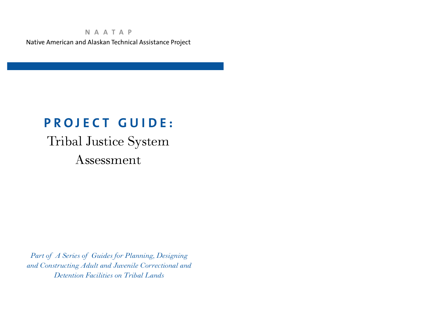### **N A A T A P** Native American and Alaskan Technical Assistance Project

## **P R O J E C T G U I D E :**

# Tribal Justice System Assessment

*Pa rt of A Series of Guides for Planning, Designing and Constructing Adult and Juvenile Correctional and Detention Facilities on Tribal Lands*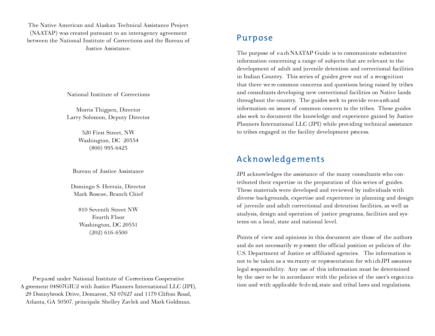The Native American and Alaskan Technical Assistance Project (NAATAP) was created pursuant to an interagency agreement between the National Institute of Corrections and the Bureau of Justice Assistance.

National Institute of Corrections

Morris Thigpen, Director Larry Solomon, Deputy Director

> 320 First Street, NW Washington, DC 20534 (800) 995-6423

Bureau of Justice Assistance

Domingo S. Herraiz, Director Mark Roscoe, Branch Chief

> 810 Seventh Street NW Fourth Floor Washington, DC 20531 (202) 616-6500

Prepared under National Institute of Corrections Cooperative A greement 04S07GIU2 with Justice Planners International LLC (JPI), 29 Donnybrook Drive, Demarest, NJ 07627 and 1179 Clifton Road, Atlanta, GA 30307. principals: Shelley Zavlek and Mark Goldman.

### Purpose

The purpose of each NAATAP Guide is to communicate substantive information concerning a range of subjects that are relevant to the development of adult and juvenile detention and correctional facilities in Indian Country. This series of guides grew out of a recognition that there we re common concerns and questions being raised by tribes and consultants developing new correctional facilities on Native lands throughout the country. The guides seek to provide research and information on issues of common concern to the tribes. These guides also seek to document the knowledge and experience gained by Justice Planners International LLC (JPI) while providing technical assistance to tribes engaged in the facility development process.

### Acknowledgements

JPI acknowledges the assistance of the many consultants who contributed their expertise in the preparation of this series of guides. These materials were developed and reviewed by individuals with diverse backgrounds, expertise and experience in planning and design of juvenile and adult correctional and detention facilities, as well as analysis, design and operation of justice programs, facilities and systems on a local, state and national level.

Points of view and opinions in this document are those of the authors and do not necessarily represent the official position or policies of the U.S. Department of Justice or affiliated agencies. The information is not to be taken as a wa rranty or representation for which JPI assumes legal responsibility. Any use of this information must be determined by the user to be in accordance with the policies of the user's organization and with applicable fed eral, state and tribal laws and regulations.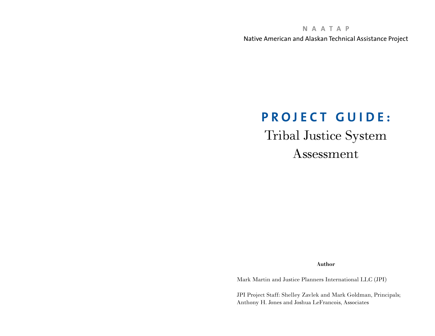**N A A T A P**

Native American and Alaskan Technical Assistance Project

## **P R O J E C T G U I D E :**

Tribal Justice System Assessment

Author

Mark Martin and Justice Planners International LLC (JPI)

JPI Project Staff: Shelley Zavlek and Mark Goldman, Principals; Anthony H. Jones and Joshua LeFrancois, Associates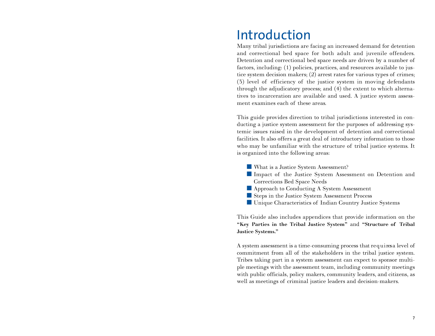## Introduction

Many tribal jurisdictions are facing an increased demand for detention and correctional bed space for both adult and juvenile offenders. Detention and correctional bed space needs are driven by a number of factors, including: (1) policies, practices, and resources available to justice system decision makers; (2) arrest rates for various types of crimes; (3) level of efficiency of the justice system in moving defendants through the adjudicatory process; and (4) the extent to which alternatives to incarceration are available and used. A justice system assessment examines each of these areas.

This guide provides direction to tribal jurisdictions interested in conducting a justice system assessment for the purposes of addressing systemic issues raised in the development of detention and correctional facilities. It also offers a great deal of introductory information to those who may be unfamiliar with the structure of tribal justice systems. It is organized into the following areas:

- What is a Justice System Assessment?
- Impact of the Justice System Assessment on Detention and Corrections Bed Space Needs
- Approach to Conducting A System Assessment
- Steps in the Justice System Assessment Process
- Unique Characteristics of Indian Country Justice Systems

This Guide also includes appendices that provide information on the "Key Parties in the Tribal Justice System" and "Structure of Tribal Justice Systems."

A system assessment is a time-consuming process that requires a level of commitment from all of the stakeholders in the tribal justice system. Tribes taking part in a system assessment can expect to sponsor multiple meetings with the assessment team, including community meetings with public officials, policy makers, community leaders, and citizens, as well as meetings of criminal justice leaders and decision-makers.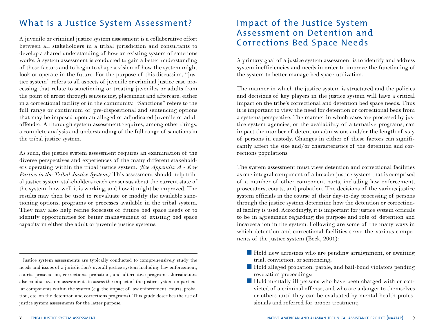## What is a Justice System Assessment?

A juvenile or criminal justice system assessment is a collaborative effort between all stakeholders in a tribal jurisdiction and consultants to develop a shared understanding of how an existing system of sanctions works. A system assessment is conducted to gain a better understanding of these factors and to begin to shape a vision of how the system might look or operate in the future. For the purpose of this discussion, "justice system" refers to all aspects of juvenile or criminal justice case processing that relate to sanctioning or treating juveniles or adults from the point of arrest through sentencing, placement and aftercare, either in a correctional facility or in the community. "Sanctions" refers to the full range or continuum of pre-dispositional and sentencing options that may be imposed upon an alleged or adjudicated juvenile or adult offender. A thorough system assessment requires, among other things, a complete analysis and understanding of the full range of sanctions in the tribal justice system.

As such, the justice system assessment requires an examination of the diverse perspectives and experiences of the many different stakeholders operating within the tribal justice system. *(See Appendix A - Key Parties in the Tribal Justice System.)* This assessment should help tribal justice system stakeholders reach consensus about the current state of the system, how well it is working, and how it might be improved. The results may then be used to reevaluate or modify the available sanctioning options, programs or processes available in the tribal system. They may also help refine forecasts of future bed space needs or to identify opportunities for better management of existing bed space capacity in either the adult or juvenile justice systems.

<sup>1</sup> Justice system assessments are typically conducted to comprehensively study the needs and issues of a jurisdiction's overall justice system including law enforcement, courts, prosecution, corrections, probation, and alternative programs. Jurisdictions also conduct system assessments to assess the impact of the justice system on particular components within the system (e.g. the impact of law enforcement, courts, probation, etc. on the detention and corrections programs). This guide describes the use of justice system assessments for the latter purpose.

## Impact of the Justice System Assessment on Detention and Corrections Bed Space Needs

A primary goal of a justice system assessment is to identify and address system inefficiencies and needs in order to improve the functioning of the system to better manage bed space utilization.

The manner in which the justice system is structured and the policies and decisions of key players in the justice system will have a critical impact on the tribe's correctional and detention bed space needs. Thus it is important to view the need for detention or correctional beds from a systems perspective. The manner in which cases are processed by justice system agencies, or the availability of alternative programs, can impact the number of detention admissions and/or the length of stay of persons in custody. Changes in either of these factors can significantly affect the size and/or characteristics of the detention and corrections populations.

The system assessment must view detention and correctional facilities as one integral component of a broader justice system that is comprised of a number of other component parts, including law enforcement, prosecutors, courts, and probation. The decisions of the various justice system officials in the course of their day-to-day processing of persons through the justice system determine how the detention or correctional facility is used. Accordingly, it is important for justice system officials to be in agreement regarding the purpose and role of detention and incarceration in the system. Following are some of the many ways in which detention and correctional facilities serve the various components of the justice system (Beck, 2001):

- Hold new arrestees who are pending arraignment, or awaiting trial, conviction, or sentencing;
- Hold alleged probation, parole, and bail-bond violators pending revocation proceedings;
- Hold mentally ill persons who have been charged with or convicted of a criminal offense, and who are a danger to themselves or others until they can be evaluated by mental health professionals and referred for proper treatment;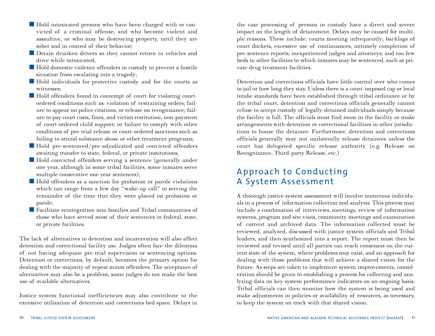- Hold intoxicated persons who have been charged with or convicted of a criminal offense, and who become violent and assaultive, or who may be destroying property, until they are sober and in control of their behavior;
- Detain drunken drivers so they cannot return to vehicles and drive while intoxicated;
- Hold domestic violence offenders in custody to prevent a hostile situation from escalating into a tragedy;
- Hold individuals for protective custody and for the courts as witnesses;
- Hold offenders found in contempt of court for violating courtordered conditions such as: violation of restraining orders; failure to appear on police citations, or release on recognizance; failure to pay court costs, fines, and victim restitution; non-payment of court-ordered child support; or failure to comply with other conditions of pre-trial release or court-ordered sanctions such as failing to attend substance abuse or other treatment programs;
- Hold pre-sentenced/pre-adjudicated and convicted offenders awaiting transfer to state, federal, or private institutions;
- Hold convicted offenders serving a sentence (generally under one year, although in some tribal facilities, some inmates serve multiple consecutive one year sentences);
- Hold offenders as a sanction for probation or parole violations which can range from a few day "wake-up call" to serving the remainder of the time that they were placed on probation or parole;
- Facilitate reintegration into families and Tribal communities of those who have served most of their sentences in federal, state, or private facilities.

The lack of alternatives to detention and incarceration will also affect detention and correctional facility use. Judges often face the dilemma of not having adequate pre-trial supervision or sentencing options. Detention or corrections, by default, becomes the primary option for dealing with the majority of repeat minor offenders. The acceptance of alternatives may also be a problem; some judges do not make the best use of available alternatives.

Justice system functional inefficiencies may also contribute to the excessive utilization of detention and corrections bed space. Delays in

the case processing of persons in custody have a direct and severe impact on the length of detainment. Delays may be caused for multiple reasons. These include: courts meeting infrequently; backlogs of court dockets, excessive use of continuances, untimely completion of pre-sentence reports; inexperienced judges and attorneys; and too few beds in other facilities to which inmates may be sentenced, such as private drug treatment facilities.

Detention and corrections officials have little control over who comes to jail or how long they stay. Unless there is a court-imposed cap or local intake standards have been established through tribal ordinance or by the tribal court, detention and corrections officials generally cannot refuse to accept custody of legally-detained individuals simply because the facility is full. The officials must find room in the facility or make arrangements with detention or correctional facilities in other jurisdictions to house the detainee. Furthermore, detention and corrections officials generally may not unilaterally release detainees unless the court has delegated specific release authority (e.g. Release on Recognizance, Third-party Release, etc.)

## Approach to Conducting A System Assessment

A thorough justice system assessment will involve numerous individuals in a process of information collection and analysis. This process may include a combination of interviews, meetings, review of information systems, program and site visits, community meetings and examination of current and archived data. The information collected must be reviewed, analyzed, discussed with justice system officials and Tribal leaders, and then synthesized into a report. The report must then be reviewed and revised until all parties can reach consensus on the current state of the system, where problems may exist, and an approach for dealing with those problems that will achieve a shared vision for the future. As steps are taken to implement system improvements, consideration should be given to establishing a process for collecting and analyzing data on key system performance indicators on an ongoing basis. Tribal officials can then monitor how the system is being used and make adjustments in policies or availability of resources, as necessary, to keep the system on track with that shared vision.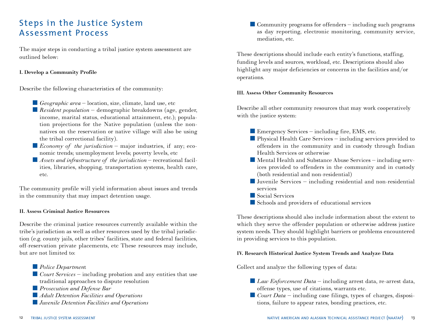## Steps in the Justice System Assessment Process

The major steps in conducting a tribal justice system assessment are outlined below:

#### I. Develop a Community Profile

Describe the following characteristics of the community:

- *Geographic area* location, size, climate, land use, etc
- *Resident population* demographic breakdowns (age, gender, income, marital status, educational attainment, etc.); population projections for the Native population (unless the nonnatives on the reservation or native village will also be using the tribal correctional facility).
- *Economy of the jurisdiction* major industries, if any; economic trends; unemployment levels; poverty levels, etc
- *Assets and infrastructure of the jurisdiction* recreational facilities, libraries, shopping, transportation systems, health care, etc.

The community profile will yield information about issues and trends in the community that may impact detention usage.

#### II. Assess Criminal Justice Resources

Describe the criminal justice resources currently available within the tribe's jurisdiction as well as other resources used by the tribal jurisdiction (e.g. county jails, other tribes' facilities, state and federal facilities, off-reservation private placements, etc These resources may include, but are not limited to:

- *Police Department*
- *Court Services* including probation and any entities that use traditional approaches to dispute resolution

■ *Prosecution and Defense Bar* 

- *Adult Detention Facilities and Operations*
- *Juvenile Detention Facilities and Operations*

■ Community programs for offenders – including such programs as day reporting, electronic monitoring, community service, mediation, etc.

These descriptions should include each entity's functions, staffing, funding levels and sources, workload, etc. Descriptions should also highlight any major deficiencies or concerns in the facilities and/or operations.

#### III. Assess Other Community Resources

Describe all other community resources that may work cooperatively with the justice system:

- Emergency Services including fire, EMS, etc.
- Physical Health Care Services including services provided to offenders in the community and in custody through Indian Health Services or otherwise
- Mental Health and Substance Abuse Services including services provided to offenders in the community and in custody (both residential and non-residential)
- $\blacksquare$  Juvenile Services including residential and non-residential services
- Social Services
- Schools and providers of educational services

These descriptions should also include information about the extent to which they serve the offender population or otherwise address justice system needs. They should highlight barriers or problems encountered in providing services to this population.

#### IV. Research Historical Justice System Trends and Analyze Data

Collect and analyze the following types of data:

- *Law Enforcement Data* including arrest data, re-arrest data, offense types, use of citations, warrants etc.
- *Court Data* including case filings, types of charges, dispositions, failure to appear rates, bonding practices, etc.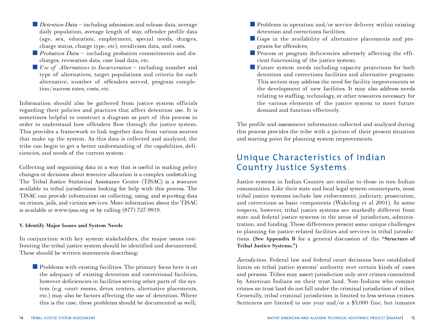- *Detention Data* including admission and release data, average daily population, average length of stay, offender profile data  $(age, sex, education, employment, special needs, charges,$ charge status, charge type, etc), recidivism data, and costs.
- *Probation Data* − including probation commitments and discharges, revocation data, case load data, etc.
- *Use of Alternatives to Incarceration* including number and type of alternatives, target populations and criteria for each alternative, number of offenders served, program completion/success rates, costs, etc.

Information should also be gathered from justice system officials regarding their policies and practices that affect detention use. It is sometimes helpful to construct a diagram as part of this process in order to understand how offenders flow through the justice system. This provides a framework to link together data from various sources that make up the system. As this data is collected and analyzed, the tribe can begin to get a better understanding of the capabilities, deficiencies, and needs of the current system.

Collecting and organizing data in a way that is useful in making policy changes or decisions about resource allocation is a complex undertaking. The Tribal Justice Statistical Assistance Center (TJSAC) is a resource available to tribal jurisdictions looking for help with this process. The TJSAC can provide information on collecting, using, and reporting data on crimes, jails, and victims services. More information about the TJSAC is available at www. tjsac. org or by calling  $(877)$  727-9919.

#### V. Identify Major Issues and System Needs

In conjunction with key system stakeholders, the major issues confronting the tribal justice system should be identified and documented. These should be written statements describing:

■ Problems with existing facilities. The primary focus here is on the adequacy of existing detention and correctional facilities, however deficiencies in facilities serving other parts of the system (e.g. court rooms, detox centers, alternative placements, etc.) may also be factors affecting the use of detention. Where this is the case, these problems should be documented as well;

- Problems in operation and/or service delivery within existing detention and corrections facilities;
- Gaps in the availability of alternative placements and programs for offenders;
- Process or program deficiencies adversely affecting the efficient functioning of the justice system;
- Future system needs including capacity projections for both detention and corrections facilities and alternative programs. This section may address the need for facility improvements or the development of new facilities. It may also address needs relating to staffing, technology, or other resources necessary for the various elements of the justice system to meet future demand and function effectively.

The profile and assessment information collected and analyzed during this process provides the tribe with a picture of their present situation and starting point for planning system improvements.

## Unique Characteristics of Indian Country Justice Systems

Justice systems in Indian Country are similar to those in non-Indian communities. Like their state and local legal system counterparts, most tribal justice systems include law enforcement, judiciary, prosecution, and corrections as basic components (Wakeling et al 2001). In some respects, however, tribal justice systems are markedly different from state and federal justice systems in the areas of jurisdiction, administration, and funding. These differences present some unique challenges to planning for justice-related facilities and services in tribal jurisdictions. (See Appendix B for a general discussion of the "Structure of Tribal Justice Systems.")

*Jurisdiction.* Federal law and federal court decisions have established limits on tribal justice systems' authority over certain kinds of cases and persons. Tribes may assert jurisdiction only over crimes committed by American Indians on their trust land. Non-Indians who commit crimes on trust land do not fall under the criminal jurisdiction of tribes. Generally, tribal criminal jurisdiction is limited to less serious crimes. Sentences are limited to one year and/or a \$5,000 fine, but inmates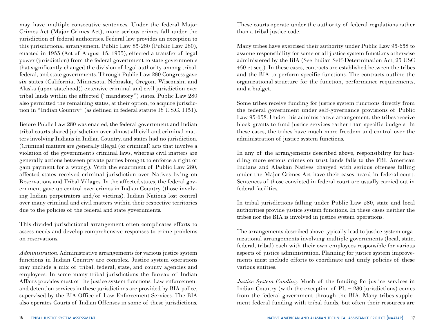may have multiple consecutive sentences. Under the federal Major Crimes Act (Major Crimes Act), more serious crimes fall under the jurisdiction of federal authorities. Federal law provides an exception to this jurisdictional arrangement. Public Law 83-280 (Public Law 280), enacted in 1953 (Act of August 15, 1953), effected a transfer of legal power (jurisdiction) from the federal government to state governments that significantly changed the division of legal authority among tribal, federal, and state governments. Through Public Law 280 Congress gave six states (California, Minnesota, Nebraska, Oregon, Wisconsin; and Alaska (upon statehood)) extensive criminal and civil jurisdiction over tribal lands within the affected ("mandatory") states. Public Law 280 also permitted the remaining states, at their option, to acquire jurisdiction in "Indian Country" (as defined in federal statute 18 U.S.C. 1151).

Before Public Law 280 was enacted, the federal government and Indian tribal courts shared jurisdiction over almost all civil and criminal matters involving Indians in Indian Country, and states had no jurisdiction. (Criminal matters are generally illegal (or criminal) acts that involve a violation of the government's criminal laws, whereas civil matters are generally actions between private parties brought to enforce a right or gain payment for a wrong.). With the enactment of Public Law 280, affected states received criminal jurisdiction over Natives living on Reservations and Tribal Villages. In the affected states, the federal government gave up control over crimes in Indian Country (those involving Indian perpetrators and/or victims). Indian Nations lost control over many criminal and civil matters within their respective territories due to the policies of the federal and state governments.

This divided jurisdictional arrangement often complicates efforts to assess needs and develop comprehensive responses to crime problems on reservations.

*Administration.* Administrative arrangements for various justice system functions in Indian Country are complex. Justice system operations may include a mix of tribal, federal, state, and county agencies and employees. In some many tribal jurisdictions the Bureau of Indian Affairs provides most of the justice system functions. Law enforcement and detention services in these jurisdictions are provided by BIA police, supervised by the BIA Office of Law Enforcement Services. The BIA also operates Courts of Indian Offenses in some of these jurisdictions.

These courts operate under the authority of federal regulations rather than a tribal justice code.

Many tribes have exercised their authority under Public Law 93-638 to assume responsibility for some or all justice system functions otherwise administered by the BIA (See Indian Self-Determination Act, 25 USC 450 et seq.). In these cases, contracts are established between the tribes and the BIA to perform specific functions. The contracts outline the organizational structure for the function, performance requirements, and a budget.

Some tribes receive funding for justice system functions directly from the federal government under self-governance provisions of Public Law 93-638. Under this administrative arrangement, the tribes receive block grants to fund justice services rather than specific budgets. In these cases, the tribes have much more freedom and control over the administration of justice system functions.

In any of the arrangements described above, responsibility for handling more serious crimes on trust lands falls to the FBI. American Indians and Alaskan Natives charged with serious offenses falling under the Major Crimes Act have their cases heard in federal court. Sentences of those convicted in federal court are usually carried out in federal facilities.

In tribal jurisdictions falling under Public Law 280, state and local authorities provide justice system functions. In these cases neither the tribes nor the BIA is involved in justice system operations.

The arrangements described above typically lead to justice system organizational arrangements involving multiple governments (local, state, federal, tribal) each with their own employees responsible for various aspects of justice administration. Planning for justice system improvements must include efforts to coordinate and unify policies of these various entities.

*Justice System Funding.* Much of the funding for justice services in Indian Country (with the exception of  $PL - 280$  jurisdictions) comes from the federal government through the BIA. Many tribes supplement federal funding with tribal funds, but often their resources are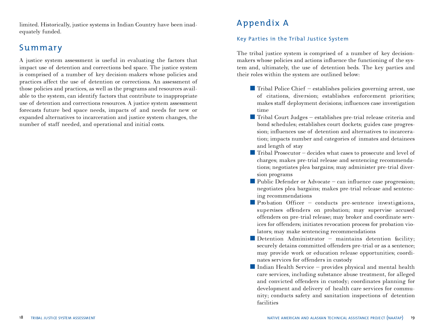limited. Historically, justice systems in Indian Country have been inadequately funded.

## **Summary**

A justice system assessment is useful in evaluating the factors that impact use of detention and corrections bed space. The justice system is comprised of a number of key decision-makers whose policies and practices affect the use of detention or corrections. An assessment of those policies and practices, as well as the programs and resources available to the system, can identify factors that contribute to inappropriate use of detention and corrections resources. A justice system assessment forecasts future bed space needs, impacts of and needs for new or expanded alternatives to incarceration and justice system changes, the number of staff needed, and operational and initial costs.

## Appendix A

#### Key Parties in the Tribal Justice System

The tribal justice system is comprised of a number of key decisionmakers whose policies and actions influence the functioning of the system and, ultimately, the use of detention beds. The key parties and their roles within the system are outlined below:

- Tribal Police Chief establishes policies governing arrest, use of citations, diversion; establishes enforcement priorities; makes staff deployment decisions; influences case investigation time
- Tribal Court Judges establishes pre-trial release criteria and bond schedules; establishes court dockets; guides case progression; influences use of detention and alternatives to incarceration; impacts number and categories of inmates and detainees and length of stay
- $\blacksquare$  Tribal Prosecutor decides what cases to prosecute and level of charges; makes pre-trial release and sentencing recommendations; negotiates plea bargains; may administer pre-trial diversion programs
- Public Defender or Advocate can influence case progression; negotiates plea bargains; makes pre-trial release and sentencing recommendations
- $\blacksquare$  Probation Officer conducts pre-sentence investigations, supervises offenders on probation; may supervise accused offenders on pre-trial release; may broker and coordinate services for offenders; initiates revocation process for probation violators; may make sentencing recommendations
- Detention Administrator maintains detention facility; securely detains committed offenders pre-trial or as a sentence; may provide work or education release opportunities; coordinates services for offenders in custody
- $\blacksquare$  Indian Health Service provides physical and mental health care services, including substance abuse treatment, for alleged and convicted offenders in custody; coordinates planning for development and delivery of health care services for community; conducts safety and sanitation inspections of detention facilities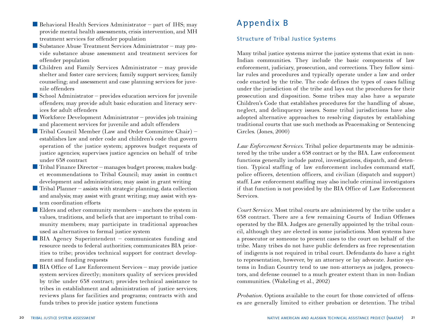- Behavioral Health Services Administrator part of IHS; may provide mental health assessments, crisis intervention, and MH treatment services for offender population
- Substance Abuse Treatment Services Administrator may provide substance abuse assessment and treatment services for offender population
- Children and Family Services Administrator may provide shelter and foster care services; family support services; family counseling; and assessment and case planning services for juvenile offenders
- $\blacksquare$  School Administrator provides education services for juvenile offenders; may provide adult basic education and literacy services for adult offenders
- Workforce Development Administrator provides job training and placement services for juvenile and adult offenders
- Tribal Council Member (Law and Order Committee Chair) establishes law and order code and children's code that govern operation of the justice system; approves budget requests of justice agencies; supervises justice agencies on behalf of tribe under 638 contract
- Tribal Finance Director manages budget process; makes budget recommendations to Tribal Council; may assist in contract development and administration; may assist in grant writing
- $\blacksquare$  Tribal Planner assists with strategic planning, data collection and analysis; may assist with grant writing; may assist with system coordination efforts
- Elders and other community members anchors the system in values, traditions, and beliefs that are important to tribal community members; may participate in traditional approaches used as alternatives to formal justice system
- BIA Agency Superintendent communicates funding and resource needs to federal authorities; communicates BIA priorities to tribe; provides technical support for contract development and funding requests
- BIA Office of Law Enforcement Services may provide justice system services directly; monitors quality of services provided by tribe under 638 contract; provides technical assistance to tribes in establishment and administration of justice services; reviews plans for facilities and programs; contracts with and funds tribes to provide justice system functions

## Appendix B

#### Structure of Tribal Justice Systems

Many tribal justice systems mirror the justice systems that exist in non-Indian communities. They include the basic components of law enforcement, judiciary, prosecution, and corrections. They follow similar rules and procedures and typically operate under a law and order code enacted by the tribe. The code defines the types of cases falling under the jurisdiction of the tribe and lays out the procedures for their prosecution and disposition. Some tribes may also have a separate Children's Code that establishes procedures for the handling of abuse, neglect, and delinquency issues. Some tribal jurisdictions have also adopted alternative approaches to resolving disputes by establishing traditional courts that use such methods as Peacemaking or Sentencing Circles. (Jones, 2000)

*Law Enforcement Services.* Tribal police departments may be administered by the tribe under a 638 contract or by the BIA. Law enforcement functions generally include patrol, investigations, dispatch, and detention. Typical staffing of law enforcement includes command staff, police officers, detention officers, and civilian (dispatch and support) staff. Law enforcement staffing may also include criminal investigators if that function is not provided by the BIA Office of Law Enforcement Services.

*Court Services.* Most tribal courts are administered by the tribe under a 638 contract. There are a few remaining Courts of Indian Offenses operated by the BIA. Judges are generally appointed by the tribal council, although they are elected in some jurisdictions. Most systems have a prosecutor or someone to present cases to the court on behalf of the tribe. Many tribes do not have public defenders as free representation of indigents is not required in tribal court. Defendants do have a right to representation, however, by an attorney or lay advocate. Justice systems in Indian Country tend to use non-attorneys as judges, prosecutors, and defense counsel to a much greater extent than in non-Indian communities. (Wakeling et al., 2002)

*Probation.* Options available to the court for those convicted of offenses are generally limited to either probation or detention. The tribal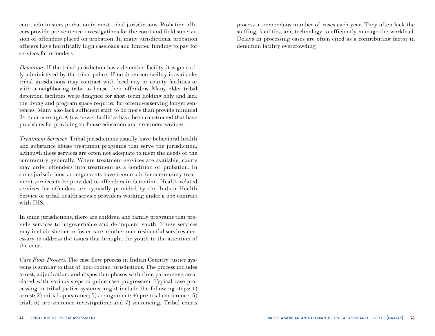court administers probation in most tribal jurisdictions. Probation officers provide pre-sentence investigations for the court and field supervision of offenders placed on probation. In many jurisdictions, probation officers have horrifically high caseloads and limited funding to pay for services for offenders.

*Detention*. If the tribal jurisdiction has a detention facility, it is generally administered by the tribal police. If no detention facility is available, tribal jurisdictions may contract with local city or county facilities or with a neighboring tribe to house their offenders. Many older tribal detention facilities we re designed for short-term holding only and lack the living and program space required for offenders serving longer sentences. Many also lack sufficient staff to do more than provide minimal 24-hour coverage. A few newer facilities have been constructed that have provisions for providing in-house education and treatment services.

*Treatment Services.* Tribal jurisdictions usually have behavioral health and substance abuse treatment programs that serve the jurisdiction, although these services are often not adequate to meet the needs of the community generally. Where treatment services are available, courts may order offenders into treatment as a condition of probation. In some jurisdictions, arrangements have been made for community treatment services to be provided to offenders in detention. Health-related services for offenders are typically provided by the Indian Health Service or tribal health service providers working under a 638 contract with IHS.

In some jurisdictions, there are children and family programs that provide services to ungovernable and delinquent youth. These services may include shelter or foster care or other non-residential services necessary to address the issues that brought the youth to the attention of the court.

*Case Flow Process.* The case flow process in Indian Country justice systems is similar to that of non-Indian jurisdictions. The process includes arrest, adjudication, and disposition phases with time parameters associated with various steps to guide case progression. Typical case processing in tribal justice systems might include the following steps: 1) arrest; 2) initial appearance; 3) arraignment; 4) pre-trial conference; 5) trial; 6) pre-sentence investigation; and 7) sentencing. Tribal courts

process a tremendous number of cases each year. They often lack the staffing, facilities, and technology to efficiently manage the workload. Delays in processing cases are often cited as a contributing factor in detention facility overcrowding.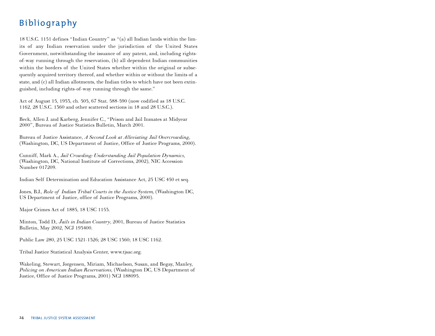## **Bibliography**

18 U.S.C. 1151 defines "Indian Country" as "(a) all Indian lands within the limits of any Indian reservation under the jurisdiction of the United States Government, notwithstanding the issuance of any patent, and, including rightsof-way running through the reservation, (b) all dependent Indian communities within the borders of the United States whether within the original or subsequently acquired territory thereof, and whether within or without the limits of a state, and (c) all Indian allotments, the Indian titles to which have not been extinguished, including rights-of-way running through the same."

Act of August 15, 1953, ch. 505, 67 Stat. 588-590 (now codified as 18 U.S.C. 1162, 28 U.S.C. 1360 and other scattered sections in 18 and 28 U.S.C.).

Beck, Allen J. and Karberg, Jennifer C., "Prison and Jail Inmates at Midyear 2000", Bureau of Justice Statistics Bulletin, March 2001.

Bureau of Justice Assistance, *A Second Look at Alleviating Jail Overcrowding,* (Washington, DC, US Department of Justice, Office of Justice Programs, 2000).

Cunniff, Mark A., *Jail Crowding: Understanding Jail Population Dynamics,* (Washington, DC, National Institute of Corrections, 2002), NIC Accession Number 017209.

Indian Self Determination and Education Assistance Act, 25 USC 450 et seq.

Jones, B.J., *Role of Indian Tribal Courts in the Justice System,* (Washington DC, US Department of Justice, office of Justice Programs, 2000).

Major Crimes Act of 1885, 18 USC 1153.

Minton, Todd D., *Jails in Indian Country,* 2001, Bureau of Justice Statistics Bulletin, May 2002, NCJ 193400.

Public Law 280, 25 USC 1321-1326; 28 USC 1360; 18 USC 1162.

Tribal Justice Statistical Analysis Center, www.tjsac.org.

Wakeling, Stewart, Jorgensen, Miriam, Michaelson, Susan, and Begay, Manley, *Policing on American Indian Reservations,* (Washington DC, US Department of Justice, Office of Justice Programs, 2001) NCJ 188095.